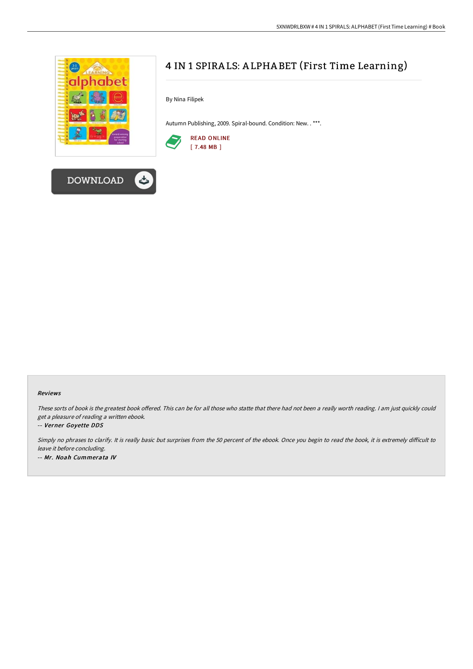



By Nina Filipek

Autumn Publishing, 2009. Spiral-bound. Condition: New. . \*\*\*.



#### Reviews

These sorts of book is the greatest book offered. This can be for all those who statte that there had not been a really worth reading. I am just quickly could get <sup>a</sup> pleasure of reading <sup>a</sup> written ebook.

#### -- Verner Goyette DDS

Simply no phrases to clarify. It is really basic but surprises from the 50 percent of the ebook. Once you begin to read the book, it is extremely difficult to leave it before concluding. -- Mr. Noah Cummerata IV